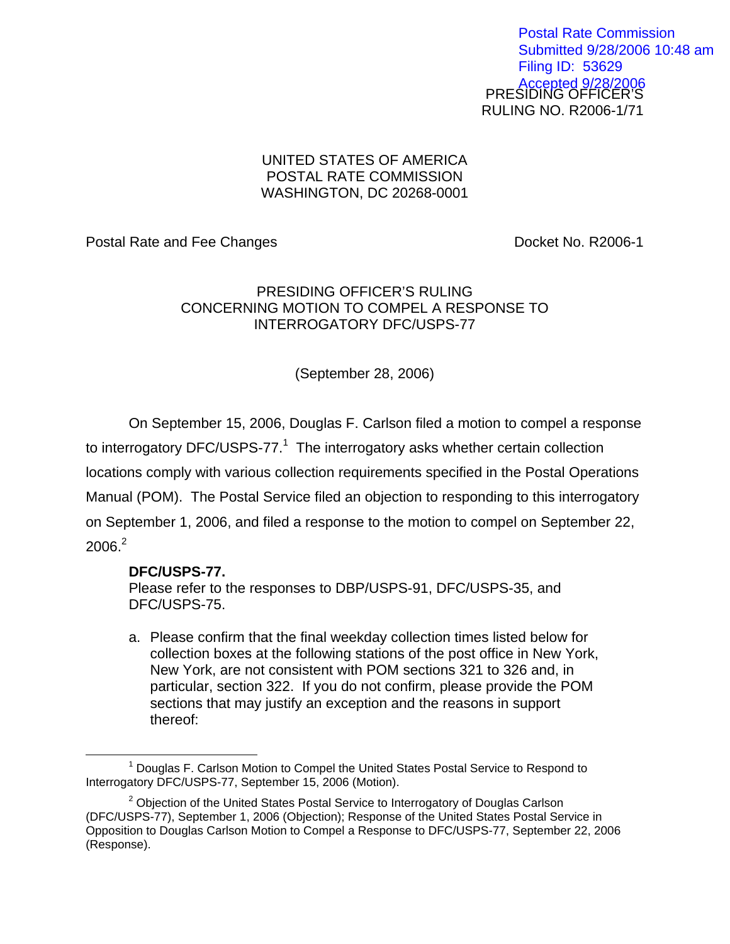PRESIDING OFFICER'S RULING NO. R2006-1/71 Postal Rate Commission Submitted 9/28/2006 10:48 am Filing ID: 53629 Accepted 9/28/2006

## UNITED STATES OF AMERICA POSTAL RATE COMMISSION WASHINGTON, DC 20268-0001

Postal Rate and Fee Changes **Docket No. R2006-1** 

## PRESIDING OFFICER'S RULING CONCERNING MOTION TO COMPEL A RESPONSE TO INTERROGATORY DFC/USPS-77

(September 28, 2006)

On September 15, 2006, Douglas F. Carlson filed a motion to compel a response to interrogatory DFC/USPS-77.<sup>[1](#page-0-0)</sup> The interrogatory asks whether certain collection locations comply with various collection requirements specified in the Postal Operations Manual (POM). The Postal Service filed an objection to responding to this interrogatory on September 1, 2006, and filed a response to the motion to compel on September 22,  $2006.<sup>2</sup>$  $2006.<sup>2</sup>$ 

## **DFC/USPS-77.**

Please refer to the responses to DBP/USPS-91, DFC/USPS-35, and DFC/USPS-75.

a. Please confirm that the final weekday collection times listed below for collection boxes at the following stations of the post office in New York, New York, are not consistent with POM sections 321 to 326 and, in particular, section 322. If you do not confirm, please provide the POM sections that may justify an exception and the reasons in support thereof:

<span id="page-0-0"></span> $\overline{\phantom{a}}$  1 <sup>1</sup> Douglas F. Carlson Motion to Compel the United States Postal Service to Respond to Interrogatory DFC/USPS-77, September 15, 2006 (Motion).

<span id="page-0-1"></span> $2$  Objection of the United States Postal Service to Interrogatory of Douglas Carlson (DFC/USPS-77), September 1, 2006 (Objection); Response of the United States Postal Service in Opposition to Douglas Carlson Motion to Compel a Response to DFC/USPS-77, September 22, 2006 (Response).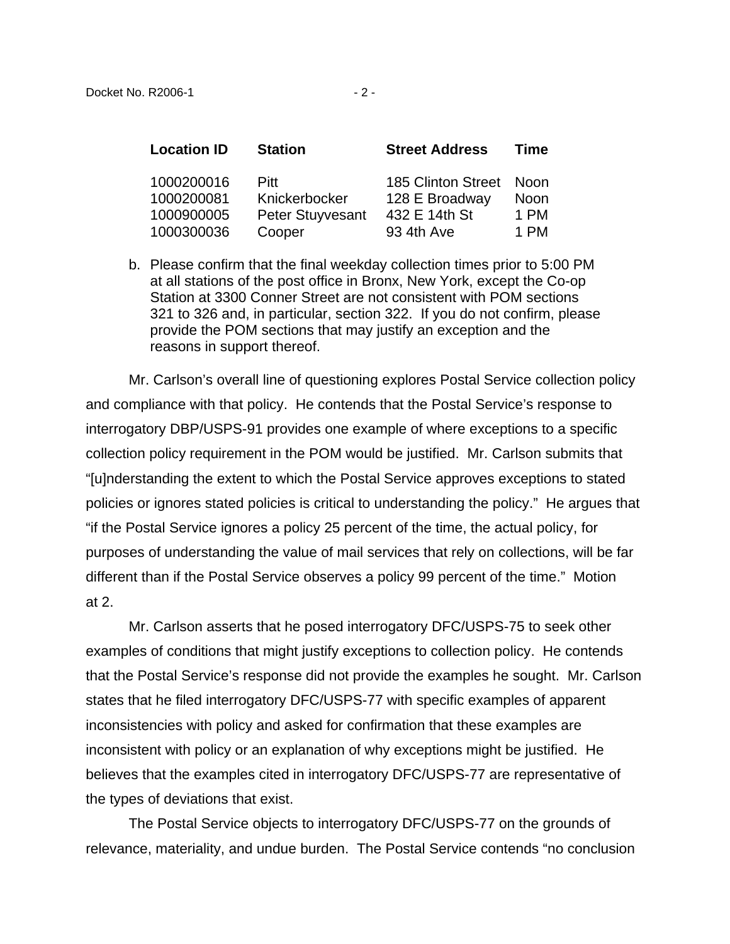| <b>Location ID</b>                     | <b>Station</b>                                          | <b>Street Address</b>                                 | Time                   |
|----------------------------------------|---------------------------------------------------------|-------------------------------------------------------|------------------------|
| 1000200016<br>1000200081<br>1000900005 | <b>Pitt</b><br>Knickerbocker<br><b>Peter Stuyvesant</b> | 185 Clinton Street<br>128 E Broadway<br>432 E 14th St | - Noon<br>Noon<br>1 PM |
| 1000300036                             | Cooper                                                  | 93 4th Ave                                            | 1 PM                   |

b. Please confirm that the final weekday collection times prior to 5:00 PM at all stations of the post office in Bronx, New York, except the Co-op Station at 3300 Conner Street are not consistent with POM sections 321 to 326 and, in particular, section 322. If you do not confirm, please provide the POM sections that may justify an exception and the reasons in support thereof.

Mr. Carlson's overall line of questioning explores Postal Service collection policy and compliance with that policy. He contends that the Postal Service's response to interrogatory DBP/USPS-91 provides one example of where exceptions to a specific collection policy requirement in the POM would be justified. Mr. Carlson submits that "[u]nderstanding the extent to which the Postal Service approves exceptions to stated policies or ignores stated policies is critical to understanding the policy." He argues that "if the Postal Service ignores a policy 25 percent of the time, the actual policy, for purposes of understanding the value of mail services that rely on collections, will be far different than if the Postal Service observes a policy 99 percent of the time." Motion at 2.

Mr. Carlson asserts that he posed interrogatory DFC/USPS-75 to seek other examples of conditions that might justify exceptions to collection policy. He contends that the Postal Service's response did not provide the examples he sought. Mr. Carlson states that he filed interrogatory DFC/USPS-77 with specific examples of apparent inconsistencies with policy and asked for confirmation that these examples are inconsistent with policy or an explanation of why exceptions might be justified. He believes that the examples cited in interrogatory DFC/USPS-77 are representative of the types of deviations that exist.

The Postal Service objects to interrogatory DFC/USPS-77 on the grounds of relevance, materiality, and undue burden. The Postal Service contends "no conclusion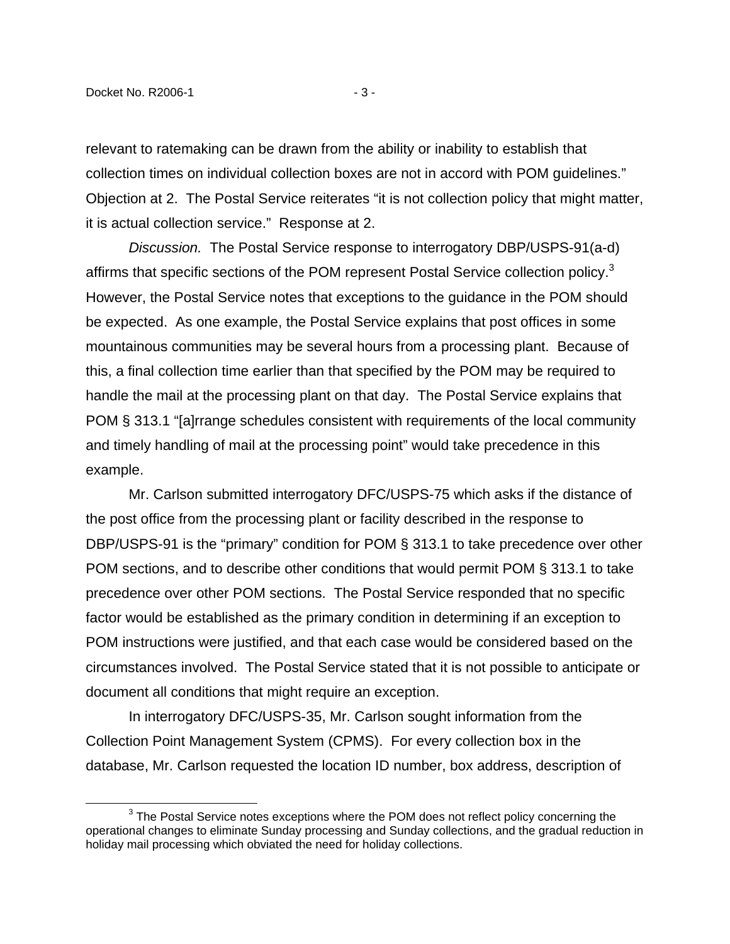1

relevant to ratemaking can be drawn from the ability or inability to establish that collection times on individual collection boxes are not in accord with POM guidelines." Objection at 2. The Postal Service reiterates "it is not collection policy that might matter, it is actual collection service." Response at 2.

Discussion. The Postal Service response to interrogatory DBP/USPS-91(a-d) affirms that specific sections of the POM represent Postal Service collection policy. $3$ However, the Postal Service notes that exceptions to the guidance in the POM should be expected. As one example, the Postal Service explains that post offices in some mountainous communities may be several hours from a processing plant. Because of this, a final collection time earlier than that specified by the POM may be required to handle the mail at the processing plant on that day. The Postal Service explains that POM § 313.1 "[a]rrange schedules consistent with requirements of the local community and timely handling of mail at the processing point" would take precedence in this example.

Mr. Carlson submitted interrogatory DFC/USPS-75 which asks if the distance of the post office from the processing plant or facility described in the response to DBP/USPS-91 is the "primary" condition for POM § 313.1 to take precedence over other POM sections, and to describe other conditions that would permit POM § 313.1 to take precedence over other POM sections. The Postal Service responded that no specific factor would be established as the primary condition in determining if an exception to POM instructions were justified, and that each case would be considered based on the circumstances involved. The Postal Service stated that it is not possible to anticipate or document all conditions that might require an exception.

In interrogatory DFC/USPS-35, Mr. Carlson sought information from the Collection Point Management System (CPMS). For every collection box in the database, Mr. Carlson requested the location ID number, box address, description of

<span id="page-2-0"></span> $3$  The Postal Service notes exceptions where the POM does not reflect policy concerning the operational changes to eliminate Sunday processing and Sunday collections, and the gradual reduction in holiday mail processing which obviated the need for holiday collections.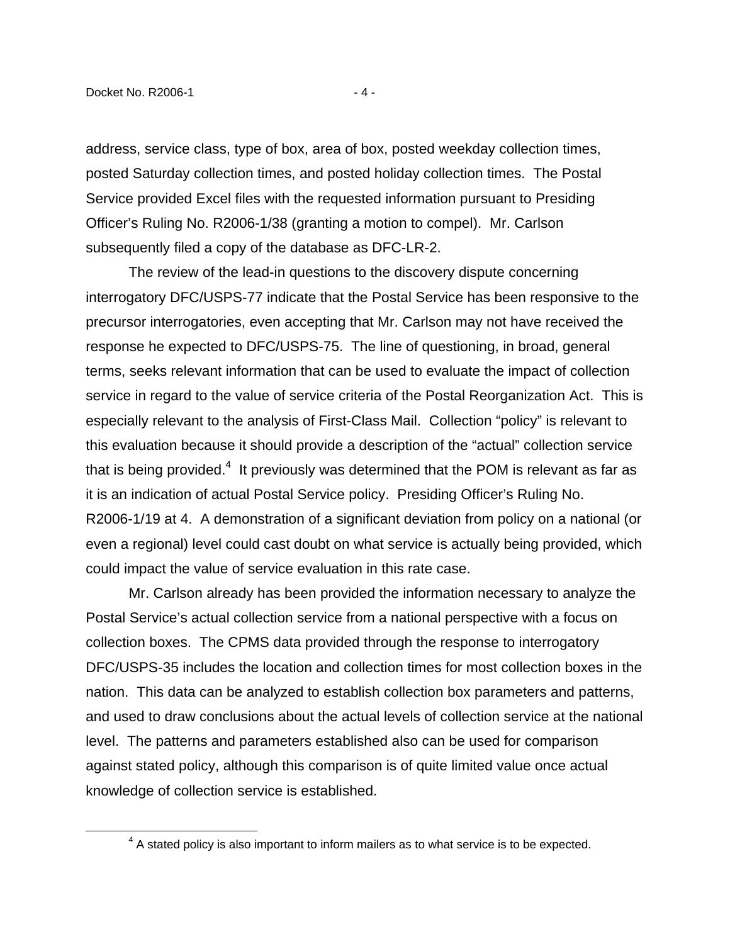$\overline{a}$ 

address, service class, type of box, area of box, posted weekday collection times, posted Saturday collection times, and posted holiday collection times. The Postal Service provided Excel files with the requested information pursuant to Presiding Officer's Ruling No. R2006-1/38 (granting a motion to compel). Mr. Carlson subsequently filed a copy of the database as DFC-LR-2.

The review of the lead-in questions to the discovery dispute concerning interrogatory DFC/USPS-77 indicate that the Postal Service has been responsive to the precursor interrogatories, even accepting that Mr. Carlson may not have received the response he expected to DFC/USPS-75. The line of questioning, in broad, general terms, seeks relevant information that can be used to evaluate the impact of collection service in regard to the value of service criteria of the Postal Reorganization Act. This is especially relevant to the analysis of First-Class Mail. Collection "policy" is relevant to this evaluation because it should provide a description of the "actual" collection service that is being provided.<sup>4</sup> It previously was determined that the POM is relevant as far as it is an indication of actual Postal Service policy. Presiding Officer's Ruling No. R2006-1/19 at 4. A demonstration of a significant deviation from policy on a national (or even a regional) level could cast doubt on what service is actually being provided, which could impact the value of service evaluation in this rate case.

Mr. Carlson already has been provided the information necessary to analyze the Postal Service's actual collection service from a national perspective with a focus on collection boxes. The CPMS data provided through the response to interrogatory DFC/USPS-35 includes the location and collection times for most collection boxes in the nation. This data can be analyzed to establish collection box parameters and patterns, and used to draw conclusions about the actual levels of collection service at the national level. The patterns and parameters established also can be used for comparison against stated policy, although this comparison is of quite limited value once actual knowledge of collection service is established.

<span id="page-3-0"></span> $4$  A stated policy is also important to inform mailers as to what service is to be expected.